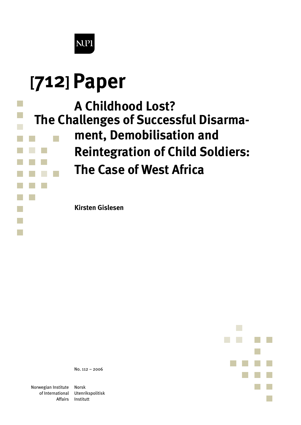

# **[712]Paper**

# **The Challenges of Successful Disarma-A Childhood Lost?**

- **ment, Demobilisation and**
- **Reintegration of Child Soldiers:**
- **The Case of West Africa**

**Kirsten Gislesen**



No. 112 – 2006

Norwegian Institute of International

Norsk Utenrikspolitisk Affairs Institutt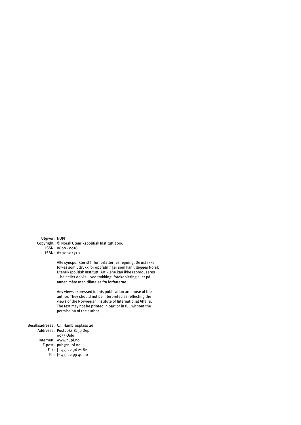Utgiver: NUPI Copyright: © Norsk Utenrikspolitisk Institutt 2006 ISSN: 0800 - 0018 ISBN: 82 7002 151-2

> Alle synspunkter står for forfatternes regning. De må ikke tolkes som uttrykk for oppfatninger som kan tillegges Norsk Utenrikspolitisk Institutt. Artiklene kan ikke reproduseres – helt eller delvis – ved trykking, fotokopiering eller på annen måte uten tillatelse fra forfatterne.

Any views expressed in this publication are those of the author. They should not be interpreted as reflecting the views of the Norwegian Institute of International Affairs. The text may not be printed in part or in full without the permission of the author.

Besøksadresse: C.J. Hambrosplass 2d Addresse: Postboks 8159 Dep. Internett: www.nupi.no E-post: pub@nupi.no Fax: [+ 47] 22 36 21 82 Tel: [+ 47] 22 99 40 000033 Oslo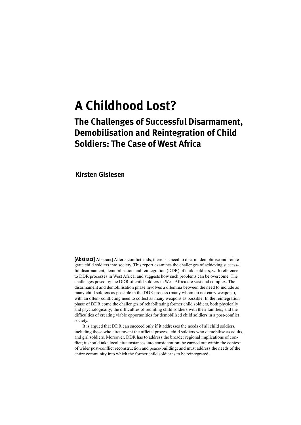## **A Childhood Lost?**

## **The Challenges of Successful Disarmament, Demobilisation and Reintegration of Child Soldiers: The Case of West Africa**

**Kirsten Gislesen**

**[Abstract]** Abstract] After a conflict ends, there is a need to disarm, demobilise and reintegrate child soldiers into society. This report examines the challenges of achieving successful disarmament, demobilisation and reintegration (DDR) of child soldiers, with reference to DDR processes in West Africa, and suggests how such problems can be overcome. The challenges posed by the DDR of child soldiers in West Africa are vast and complex. The disarmament and demobilisation phase involves a dilemma between the need to include as many child soldiers as possible in the DDR process (many whom do not carry weapons), with an often- conflicting need to collect as many weapons as possible. In the reintegration phase of DDR come the challenges of rehabilitating former child soldiers, both physically and psychologically; the difficulties of reuniting child soldiers with their families; and the difficulties of creating viable opportunities for demobilised child soldiers in a post-conflict society.

 It is argued that DDR can succeed only if it addresses the needs of all child soldiers, including those who circumvent the official process, child soldiers who demobilise as adults, and girl soldiers. Moreover, DDR has to address the broader regional implications of conflict; it should take local circumstances into consideration; be carried out within the context of wider post-conflict reconstruction and peace-building; and must address the needs of the entire community into which the former child soldier is to be reintegrated.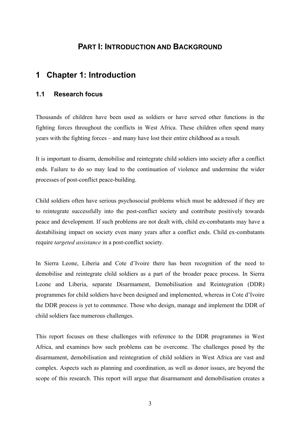## **PART I: INTRODUCTION AND BACKGROUND**

## **1 Chapter 1: Introduction**

#### **1.1 Research focus**

Thousands of children have been used as soldiers or have served other functions in the fighting forces throughout the conflicts in West Africa. These children often spend many years with the fighting forces – and many have lost their entire childhood as a result.

It is important to disarm, demobilise and reintegrate child soldiers into society after a conflict ends. Failure to do so may lead to the continuation of violence and undermine the wider processes of post-conflict peace-building.

Child soldiers often have serious psychosocial problems which must be addressed if they are to reintegrate successfully into the post-conflict society and contribute positively towards peace and development. If such problems are not dealt with, child ex-combatants may have a destabilising impact on society even many years after a conflict ends. Child ex-combatants require *targeted assistance* in a post-conflict society.

In Sierra Leone, Liberia and Cote d'Ivoire there has been recognition of the need to demobilise and reintegrate child soldiers as a part of the broader peace process. In Sierra Leone and Liberia, separate Disarmament, Demobilisation and Reintegration (DDR) programmes for child soldiers have been designed and implemented, whereas in Cote d'Ivoire the DDR process is yet to commence. Those who design, manage and implement the DDR of child soldiers face numerous challenges.

This report focuses on these challenges with reference to the DDR programmes in West Africa, and examines how such problems can be overcome. The challenges posed by the disarmament, demobilisation and reintegration of child soldiers in West Africa are vast and complex. Aspects such as planning and coordination, as well as donor issues, are beyond the scope of this research. This report will argue that disarmament and demobilisation creates a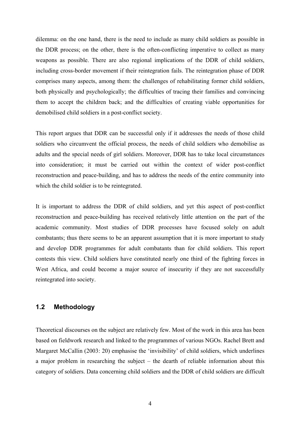dilemma: on the one hand, there is the need to include as many child soldiers as possible in the DDR process; on the other, there is the often-conflicting imperative to collect as many weapons as possible. There are also regional implications of the DDR of child soldiers, including cross-border movement if their reintegration fails. The reintegration phase of DDR comprises many aspects, among them: the challenges of rehabilitating former child soldiers, both physically and psychologically; the difficulties of tracing their families and convincing them to accept the children back; and the difficulties of creating viable opportunities for demobilised child soldiers in a post-conflict society.

This report argues that DDR can be successful only if it addresses the needs of those child soldiers who circumvent the official process, the needs of child soldiers who demobilise as adults and the special needs of girl soldiers. Moreover, DDR has to take local circumstances into consideration; it must be carried out within the context of wider post-conflict reconstruction and peace-building, and has to address the needs of the entire community into which the child soldier is to be reintegrated.

It is important to address the DDR of child soldiers, and yet this aspect of post-conflict reconstruction and peace-building has received relatively little attention on the part of the academic community. Most studies of DDR processes have focused solely on adult combatants; thus there seems to be an apparent assumption that it is more important to study and develop DDR programmes for adult combatants than for child soldiers. This report contests this view. Child soldiers have constituted nearly one third of the fighting forces in West Africa, and could become a major source of insecurity if they are not successfully reintegrated into society.

#### **1.2 Methodology**

Theoretical discourses on the subject are relatively few. Most of the work in this area has been based on fieldwork research and linked to the programmes of various NGOs. Rachel Brett and Margaret McCallin (2003: 20) emphasise the 'invisibility' of child soldiers, which underlines a major problem in researching the subject – the dearth of reliable information about this category of soldiers. Data concerning child soldiers and the DDR of child soldiers are difficult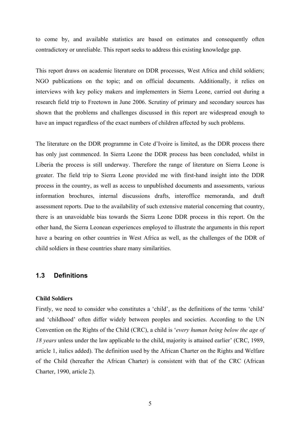to come by, and available statistics are based on estimates and consequently often contradictory or unreliable. This report seeks to address this existing knowledge gap.

This report draws on academic literature on DDR processes, West Africa and child soldiers; NGO publications on the topic; and on official documents. Additionally, it relies on interviews with key policy makers and implementers in Sierra Leone, carried out during a research field trip to Freetown in June 2006. Scrutiny of primary and secondary sources has shown that the problems and challenges discussed in this report are widespread enough to have an impact regardless of the exact numbers of children affected by such problems.

The literature on the DDR programme in Cote d'Ivoire is limited, as the DDR process there has only just commenced. In Sierra Leone the DDR process has been concluded, whilst in Liberia the process is still underway. Therefore the range of literature on Sierra Leone is greater. The field trip to Sierra Leone provided me with first-hand insight into the DDR process in the country, as well as access to unpublished documents and assessments, various information brochures, internal discussions drafts, interoffice memoranda, and draft assessment reports. Due to the availability of such extensive material concerning that country, there is an unavoidable bias towards the Sierra Leone DDR process in this report. On the other hand, the Sierra Leonean experiences employed to illustrate the arguments in this report have a bearing on other countries in West Africa as well, as the challenges of the DDR of child soldiers in these countries share many similarities.

#### **1.3 Definitions**

#### **Child Soldiers**

Firstly, we need to consider who constitutes a 'child', as the definitions of the terms 'child' and 'childhood' often differ widely between peoples and societies. According to the UN Convention on the Rights of the Child (CRC), a child is '*every human being below the age of 18 years* unless under the law applicable to the child, majority is attained earlier' (CRC, 1989, article 1, italics added). The definition used by the African Charter on the Rights and Welfare of the Child (hereafter the African Charter) is consistent with that of the CRC (African Charter, 1990, article 2).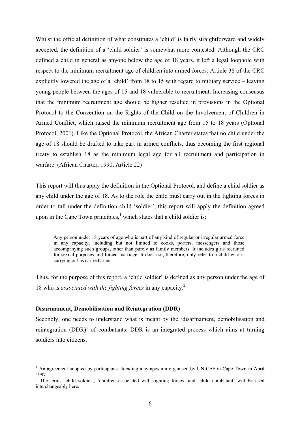Whilst the official definition of what constitutes a 'child' is fairly straightforward and widely accepted, the definition of a 'child soldier' is somewhat more contested. Although the CRC defined a child in general as anyone below the age of 18 years, it left a legal loophole with respect to the minimum recruitment age of children into armed forces. Article 38 of the CRC explicitly lowered the age of a 'child' from 18 to 15 with regard to military service – leaving young people between the ages of 15 and 18 vulnerable to recruitment. Increasing consensus that the minimum recruitment age should be higher resulted in provisions in the Optional Protocol to the Convention on the Rights of the Child on the Involvement of Children in Armed Conflict, which raised the minimum recruitment age from 15 to 18 years (Optional Protocol, 2001). Like the Optional Protocol, the African Charter states that no child under the age of 18 should be drafted to take part in armed conflicts, thus becoming the first regional treaty to establish 18 as the minimum legal age for all recruitment and participation in warfare. (African Charter, 1990, Article 22)

This report will thus apply the definition in the Optional Protocol, and define a child soldier as any child under the age of 18. As to the role the child must carry out in the fighting forces in order to fall under the definition child 'soldier', this report will apply the definition agreed upon in the Cape Town principles, $<sup>1</sup>$  which states that a child soldier is:</sup>

Any person under 18 years of age who is part of any kind of regular or irregular armed force in any capacity, including but not limited to cooks, porters, messengers and those accompanying such groups, other than purely as family members. It includes girls recruited for sexual purposes and forced marriage. It does not, therefore, only refer to a child who is carrying or has carried arms.

Thus, for the purpose of this report, a 'child soldier' is defined as any person under the age of 18 who is *associated with the fighting forces* in any capacity.2

#### **Disarmament, Demobilisation and Reintegration (DDR)**

1

Secondly, one needs to understand what is meant by the 'disarmament, demobilisation and reintegration (DDR)' of combatants. DDR is an integrated process which aims at turning soldiers into citizens.

<sup>&</sup>lt;sup>1</sup> An agreement adopted by participants attending a symposium organised by UNICEF in Cape Town in April 1997

<sup>&</sup>lt;sup>2</sup> The terms 'child soldier', 'children associated with fighting forces' and 'child combatant' will be used interchangeably here.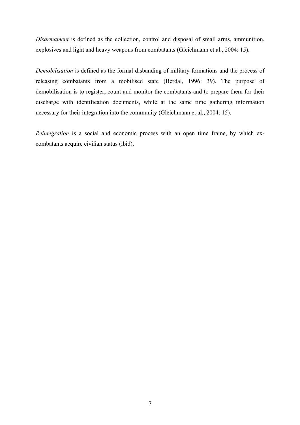*Disarmament* is defined as the collection, control and disposal of small arms, ammunition, explosives and light and heavy weapons from combatants (Gleichmann et al., 2004: 15).

*Demobilisation* is defined as the formal disbanding of military formations and the process of releasing combatants from a mobilised state (Berdal, 1996: 39). The purpose of demobilisation is to register, count and monitor the combatants and to prepare them for their discharge with identification documents, while at the same time gathering information necessary for their integration into the community (Gleichmann et al., 2004: 15).

*Reintegration* is a social and economic process with an open time frame, by which excombatants acquire civilian status (ibid).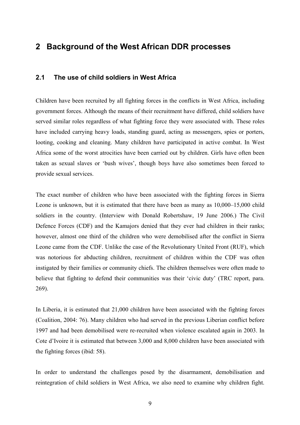## **2 Background of the West African DDR processes**

#### **2.1 The use of child soldiers in West Africa**

Children have been recruited by all fighting forces in the conflicts in West Africa, including government forces. Although the means of their recruitment have differed, child soldiers have served similar roles regardless of what fighting force they were associated with. These roles have included carrying heavy loads, standing guard, acting as messengers, spies or porters, looting, cooking and cleaning. Many children have participated in active combat. In West Africa some of the worst atrocities have been carried out by children. Girls have often been taken as sexual slaves or 'bush wives', though boys have also sometimes been forced to provide sexual services.

The exact number of children who have been associated with the fighting forces in Sierra Leone is unknown, but it is estimated that there have been as many as 10,000–15,000 child soldiers in the country. (Interview with Donald Robertshaw, 19 June 2006.) The Civil Defence Forces (CDF) and the Kamajors denied that they ever had children in their ranks; however, almost one third of the children who were demobilised after the conflict in Sierra Leone came from the CDF. Unlike the case of the Revolutionary United Front (RUF), which was notorious for abducting children, recruitment of children within the CDF was often instigated by their families or community chiefs. The children themselves were often made to believe that fighting to defend their communities was their 'civic duty' (TRC report, para. 269).

In Liberia, it is estimated that 21,000 children have been associated with the fighting forces (Coalition, 2004: 76). Many children who had served in the previous Liberian conflict before 1997 and had been demobilised were re-recruited when violence escalated again in 2003. In Cote d'Ivoire it is estimated that between 3,000 and 8,000 children have been associated with the fighting forces (ibid: 58).

In order to understand the challenges posed by the disarmament, demobilisation and reintegration of child soldiers in West Africa, we also need to examine why children fight.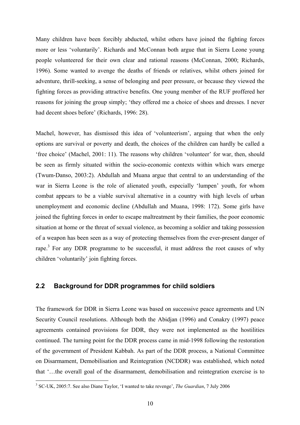Many children have been forcibly abducted, whilst others have joined the fighting forces more or less 'voluntarily'. Richards and McConnan both argue that in Sierra Leone young people volunteered for their own clear and rational reasons (McConnan, 2000; Richards, 1996). Some wanted to avenge the deaths of friends or relatives, whilst others joined for adventure, thrill-seeking, a sense of belonging and peer pressure, or because they viewed the fighting forces as providing attractive benefits. One young member of the RUF proffered her reasons for joining the group simply; 'they offered me a choice of shoes and dresses. I never had decent shoes before' (Richards, 1996: 28).

Machel, however, has dismissed this idea of 'volunteerism', arguing that when the only options are survival or poverty and death, the choices of the children can hardly be called a 'free choice' (Machel, 2001: 11). The reasons why children 'volunteer' for war, then, should be seen as firmly situated within the socio-economic contexts within which wars emerge (Twum-Danso, 2003:2). Abdullah and Muana argue that central to an understanding of the war in Sierra Leone is the role of alienated youth, especially 'lumpen' youth, for whom combat appears to be a viable survival alternative in a country with high levels of urban unemployment and economic decline (Abdullah and Muana, 1998: 172). Some girls have joined the fighting forces in order to escape maltreatment by their families, the poor economic situation at home or the threat of sexual violence, as becoming a soldier and taking possession of a weapon has been seen as a way of protecting themselves from the ever-present danger of rape.<sup>3</sup> For any DDR programme to be successful, it must address the root causes of why children 'voluntarily' join fighting forces.

#### **2.2 Background for DDR programmes for child soldiers**

The framework for DDR in Sierra Leone was based on successive peace agreements and UN Security Council resolutions. Although both the Abidjan (1996) and Conakry (1997) peace agreements contained provisions for DDR, they were not implemented as the hostilities continued. The turning point for the DDR process came in mid-1998 following the restoration of the government of President Kabbah. As part of the DDR process, a National Committee on Disarmament, Demobilisation and Reintegration (NCDDR) was established, which noted that '…the overall goal of the disarmament, demobilisation and reintegration exercise is to

 3 SC-UK, 2005:7. See also Diane Taylor, 'I wanted to take revenge', *The Guardian*, 7 July 2006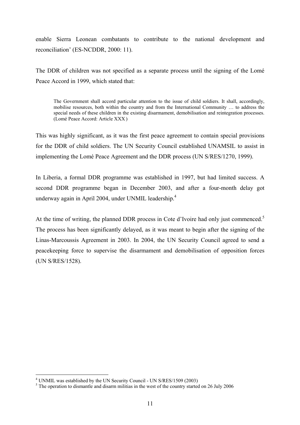enable Sierra Leonean combatants to contribute to the national development and reconciliation' (ES-NCDDR, 2000: 11).

The DDR of children was not specified as a separate process until the signing of the Lomé Peace Accord in 1999, which stated that:

The Government shall accord particular attention to the issue of child soldiers. It shall, accordingly, mobilise resources, both within the country and from the International Community … to address the special needs of these children in the existing disarmament, demobilisation and reintegration processes. (Lomé Peace Accord: Article XXX )

This was highly significant, as it was the first peace agreement to contain special provisions for the DDR of child soldiers. The UN Security Council established UNAMSIL to assist in implementing the Lomé Peace Agreement and the DDR process (UN S/RES/1270, 1999).

In Liberia, a formal DDR programme was established in 1997, but had limited success. A second DDR programme began in December 2003, and after a four-month delay got underway again in April 2004, under UNMIL leadership.<sup>4</sup>

At the time of writing, the planned DDR process in Cote d'Ivoire had only just commenced.<sup>5</sup> The process has been significantly delayed, as it was meant to begin after the signing of the Linas-Marcoussis Agreement in 2003. In 2004, the UN Security Council agreed to send a peacekeeping force to supervise the disarmament and demobilisation of opposition forces (UN S/RES/1528).

1

<sup>&</sup>lt;sup>4</sup> UNMIL was established by the UN Security Council - UN S/RES/1509 (2003)

 $<sup>5</sup>$  The operation to dismantle and disarm militias in the west of the country started on 26 July 2006</sup>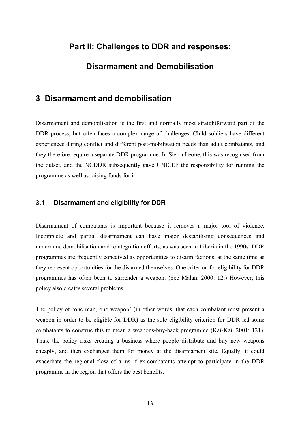## **Part II: Challenges to DDR and responses:**

## **Disarmament and Demobilisation**

### **3 Disarmament and demobilisation**

Disarmament and demobilisation is the first and normally most straightforward part of the DDR process, but often faces a complex range of challenges. Child soldiers have different experiences during conflict and different post-mobilisation needs than adult combatants, and they therefore require a separate DDR programme. In Sierra Leone, this was recognised from the outset, and the NCDDR subsequently gave UNICEF the responsibility for running the programme as well as raising funds for it.

#### **3.1 Disarmament and eligibility for DDR**

Disarmament of combatants is important because it removes a major tool of violence. Incomplete and partial disarmament can have major destabilising consequences and undermine demobilisation and reintegration efforts, as was seen in Liberia in the 1990s. DDR programmes are frequently conceived as opportunities to disarm factions, at the same time as they represent opportunities for the disarmed themselves. One criterion for eligibility for DDR programmes has often been to surrender a weapon. (See Malan, 2000: 12.) However, this policy also creates several problems.

The policy of 'one man, one weapon' (in other words, that each combatant must present a weapon in order to be eligible for DDR) as the sole eligibility criterion for DDR led some combatants to construe this to mean a weapons-buy-back programme (Kai-Kai, 2001: 121). Thus, the policy risks creating a business where people distribute and buy new weapons cheaply, and then exchanges them for money at the disarmament site. Equally, it could exacerbate the regional flow of arms if ex-combatants attempt to participate in the DDR programme in the region that offers the best benefits.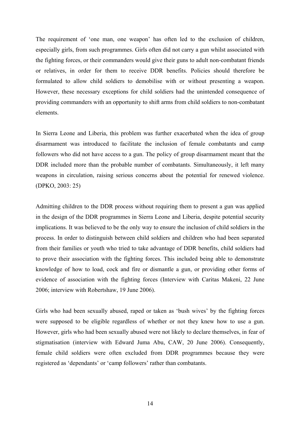The requirement of 'one man, one weapon' has often led to the exclusion of children, especially girls, from such programmes. Girls often did not carry a gun whilst associated with the fighting forces, or their commanders would give their guns to adult non-combatant friends or relatives, in order for them to receive DDR benefits. Policies should therefore be formulated to allow child soldiers to demobilise with or without presenting a weapon. However, these necessary exceptions for child soldiers had the unintended consequence of providing commanders with an opportunity to shift arms from child soldiers to non-combatant elements.

In Sierra Leone and Liberia, this problem was further exacerbated when the idea of group disarmament was introduced to facilitate the inclusion of female combatants and camp followers who did not have access to a gun. The policy of group disarmament meant that the DDR included more than the probable number of combatants. Simultaneously, it left many weapons in circulation, raising serious concerns about the potential for renewed violence. (DPKO, 2003: 25)

Admitting children to the DDR process without requiring them to present a gun was applied in the design of the DDR programmes in Sierra Leone and Liberia, despite potential security implications. It was believed to be the only way to ensure the inclusion of child soldiers in the process. In order to distinguish between child soldiers and children who had been separated from their families or youth who tried to take advantage of DDR benefits, child soldiers had to prove their association with the fighting forces. This included being able to demonstrate knowledge of how to load, cock and fire or dismantle a gun, or providing other forms of evidence of association with the fighting forces (Interview with Caritas Makeni, 22 June 2006; interview with Robertshaw, 19 June 2006).

Girls who had been sexually abused, raped or taken as 'bush wives' by the fighting forces were supposed to be eligible regardless of whether or not they knew how to use a gun. However, girls who had been sexually abused were not likely to declare themselves, in fear of stigmatisation (interview with Edward Juma Abu, CAW, 20 June 2006). Consequently, female child soldiers were often excluded from DDR programmes because they were registered as 'dependants' or 'camp followers' rather than combatants.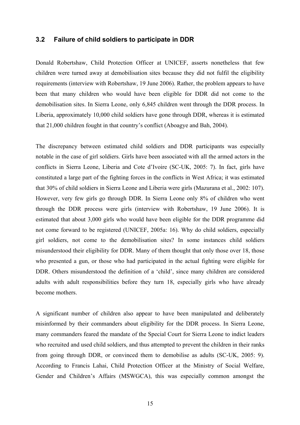#### **3.2 Failure of child soldiers to participate in DDR**

Donald Robertshaw, Child Protection Officer at UNICEF, asserts nonetheless that few children were turned away at demobilisation sites because they did not fulfil the eligibility requirements (interview with Robertshaw, 19 June 2006). Rather, the problem appears to have been that many children who would have been eligible for DDR did not come to the demobilisation sites. In Sierra Leone, only 6,845 children went through the DDR process. In Liberia, approximately 10,000 child soldiers have gone through DDR, whereas it is estimated that 21,000 children fought in that country's conflict (Aboagye and Bah, 2004).

The discrepancy between estimated child soldiers and DDR participants was especially notable in the case of girl soldiers. Girls have been associated with all the armed actors in the conflicts in Sierra Leone, Liberia and Cote d'Ivoire (SC-UK, 2005: 7). In fact, girls have constituted a large part of the fighting forces in the conflicts in West Africa; it was estimated that 30% of child soldiers in Sierra Leone and Liberia were girls (Mazurana et al., 2002: 107). However, very few girls go through DDR. In Sierra Leone only 8% of children who went through the DDR process were girls (interview with Robertshaw, 19 June 2006). It is estimated that about 3,000 girls who would have been eligible for the DDR programme did not come forward to be registered (UNICEF, 2005a: 16). Why do child soldiers, especially girl soldiers, not come to the demobilisation sites? In some instances child soldiers misunderstood their eligibility for DDR. Many of them thought that only those over 18, those who presented a gun, or those who had participated in the actual fighting were eligible for DDR. Others misunderstood the definition of a 'child', since many children are considered adults with adult responsibilities before they turn 18, especially girls who have already become mothers.

A significant number of children also appear to have been manipulated and deliberately misinformed by their commanders about eligibility for the DDR process. In Sierra Leone, many commanders feared the mandate of the Special Court for Sierra Leone to indict leaders who recruited and used child soldiers, and thus attempted to prevent the children in their ranks from going through DDR, or convinced them to demobilise as adults (SC-UK, 2005: 9). According to Francis Lahai, Child Protection Officer at the Ministry of Social Welfare, Gender and Children's Affairs (MSWGCA), this was especially common amongst the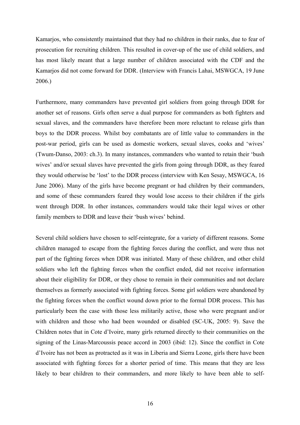Kamarjos, who consistently maintained that they had no children in their ranks, due to fear of prosecution for recruiting children. This resulted in cover-up of the use of child soldiers, and has most likely meant that a large number of children associated with the CDF and the Kamarjos did not come forward for DDR. (Interview with Francis Lahai, MSWGCA, 19 June 2006.)

Furthermore, many commanders have prevented girl soldiers from going through DDR for another set of reasons. Girls often serve a dual purpose for commanders as both fighters and sexual slaves, and the commanders have therefore been more reluctant to release girls than boys to the DDR process. Whilst boy combatants are of little value to commanders in the post-war period, girls can be used as domestic workers, sexual slaves, cooks and 'wives' (Twum-Danso, 2003: ch.3). In many instances, commanders who wanted to retain their 'bush wives' and/or sexual slaves have prevented the girls from going through DDR, as they feared they would otherwise be 'lost' to the DDR process (interview with Ken Sesay, MSWGCA, 16 June 2006). Many of the girls have become pregnant or had children by their commanders, and some of these commanders feared they would lose access to their children if the girls went through DDR. In other instances, commanders would take their legal wives or other family members to DDR and leave their 'bush wives' behind.

Several child soldiers have chosen to self-reintegrate, for a variety of different reasons. Some children managed to escape from the fighting forces during the conflict, and were thus not part of the fighting forces when DDR was initiated. Many of these children, and other child soldiers who left the fighting forces when the conflict ended, did not receive information about their eligibility for DDR, or they chose to remain in their communities and not declare themselves as formerly associated with fighting forces. Some girl soldiers were abandoned by the fighting forces when the conflict wound down prior to the formal DDR process. This has particularly been the case with those less militarily active, those who were pregnant and/or with children and those who had been wounded or disabled (SC-UK, 2005: 9). Save the Children notes that in Cote d'Ivoire, many girls returned directly to their communities on the signing of the Linas-Marcoussis peace accord in 2003 (ibid: 12). Since the conflict in Cote d'Ivoire has not been as protracted as it was in Liberia and Sierra Leone, girls there have been associated with fighting forces for a shorter period of time. This means that they are less likely to bear children to their commanders, and more likely to have been able to self-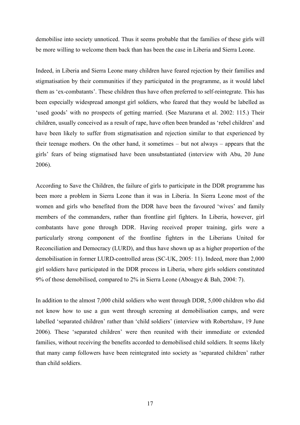demobilise into society unnoticed. Thus it seems probable that the families of these girls will be more willing to welcome them back than has been the case in Liberia and Sierra Leone.

Indeed, in Liberia and Sierra Leone many children have feared rejection by their families and stigmatisation by their communities if they participated in the programme, as it would label them as 'ex-combatants'. These children thus have often preferred to self-reintegrate. This has been especially widespread amongst girl soldiers, who feared that they would be labelled as 'used goods' with no prospects of getting married. (See Mazurana et al. 2002: 115.) Their children, usually conceived as a result of rape, have often been branded as 'rebel children' and have been likely to suffer from stigmatisation and rejection similar to that experienced by their teenage mothers. On the other hand, it sometimes – but not always – appears that the girls' fears of being stigmatised have been unsubstantiated (interview with Abu, 20 June 2006).

According to Save the Children, the failure of girls to participate in the DDR programme has been more a problem in Sierra Leone than it was in Liberia. In Sierra Leone most of the women and girls who benefited from the DDR have been the favoured 'wives' and family members of the commanders, rather than frontline girl fighters. In Liberia, however, girl combatants have gone through DDR. Having received proper training, girls were a particularly strong component of the frontline fighters in the Liberians United for Reconciliation and Democracy (LURD), and thus have shown up as a higher proportion of the demobilisation in former LURD-controlled areas (SC-UK, 2005: 11). Indeed, more than 2,000 girl soldiers have participated in the DDR process in Liberia, where girls soldiers constituted 9% of those demobilised, compared to 2% in Sierra Leone (Aboagye & Bah, 2004: 7).

In addition to the almost 7,000 child soldiers who went through DDR, 5,000 children who did not know how to use a gun went through screening at demobilisation camps, and were labelled 'separated children' rather than 'child soldiers' (interview with Robertshaw, 19 June 2006). These 'separated children' were then reunited with their immediate or extended families, without receiving the benefits accorded to demobilised child soldiers. It seems likely that many camp followers have been reintegrated into society as 'separated children' rather than child soldiers.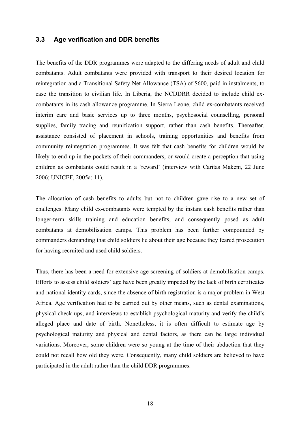#### **3.3 Age verification and DDR benefits**

The benefits of the DDR programmes were adapted to the differing needs of adult and child combatants. Adult combatants were provided with transport to their desired location for reintegration and a Transitional Safety Net Allowance (TSA) of \$600, paid in instalments, to ease the transition to civilian life. In Liberia, the NCDDRR decided to include child excombatants in its cash allowance programme. In Sierra Leone, child ex-combatants received interim care and basic services up to three months, psychosocial counselling, personal supplies, family tracing and reunification support, rather than cash benefits. Thereafter, assistance consisted of placement in schools, training opportunities and benefits from community reintegration programmes. It was felt that cash benefits for children would be likely to end up in the pockets of their commanders, or would create a perception that using children as combatants could result in a 'reward' (interview with Caritas Makeni, 22 June 2006; UNICEF, 2005a: 11).

The allocation of cash benefits to adults but not to children gave rise to a new set of challenges. Many child ex-combatants were tempted by the instant cash benefits rather than longer-term skills training and education benefits, and consequently posed as adult combatants at demobilisation camps. This problem has been further compounded by commanders demanding that child soldiers lie about their age because they feared prosecution for having recruited and used child soldiers.

Thus, there has been a need for extensive age screening of soldiers at demobilisation camps. Efforts to assess child soldiers' age have been greatly impeded by the lack of birth certificates and national identity cards, since the absence of birth registration is a major problem in West Africa. Age verification had to be carried out by other means, such as dental examinations, physical check-ups, and interviews to establish psychological maturity and verify the child's alleged place and date of birth. Nonetheless, it is often difficult to estimate age by psychological maturity and physical and dental factors, as there can be large individual variations. Moreover, some children were so young at the time of their abduction that they could not recall how old they were. Consequently, many child soldiers are believed to have participated in the adult rather than the child DDR programmes.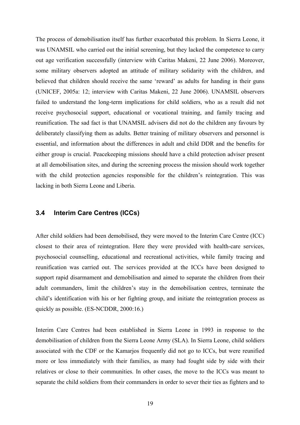The process of demobilisation itself has further exacerbated this problem. In Sierra Leone, it was UNAMSIL who carried out the initial screening, but they lacked the competence to carry out age verification successfully (interview with Caritas Makeni, 22 June 2006). Moreover, some military observers adopted an attitude of military solidarity with the children, and believed that children should receive the same 'reward' as adults for handing in their guns (UNICEF, 2005a: 12; interview with Caritas Makeni, 22 June 2006). UNAMSIL observers failed to understand the long-term implications for child soldiers, who as a result did not receive psychosocial support, educational or vocational training, and family tracing and reunification. The sad fact is that UNAMSIL advisers did not do the children any favours by deliberately classifying them as adults. Better training of military observers and personnel is essential, and information about the differences in adult and child DDR and the benefits for either group is crucial. Peacekeeping missions should have a child protection adviser present at all demobilisation sites, and during the screening process the mission should work together with the child protection agencies responsible for the children's reintegration. This was lacking in both Sierra Leone and Liberia.

#### **3.4 Interim Care Centres (ICCs)**

After child soldiers had been demobilised, they were moved to the Interim Care Centre (ICC) closest to their area of reintegration. Here they were provided with health-care services, psychosocial counselling, educational and recreational activities, while family tracing and reunification was carried out. The services provided at the ICCs have been designed to support rapid disarmament and demobilisation and aimed to separate the children from their adult commanders, limit the children's stay in the demobilisation centres, terminate the child's identification with his or her fighting group, and initiate the reintegration process as quickly as possible. (ES-NCDDR, 2000:16.)

Interim Care Centres had been established in Sierra Leone in 1993 in response to the demobilisation of children from the Sierra Leone Army (SLA). In Sierra Leone, child soldiers associated with the CDF or the Kamarjos frequently did not go to ICCs, but were reunified more or less immediately with their families, as many had fought side by side with their relatives or close to their communities. In other cases, the move to the ICCs was meant to separate the child soldiers from their commanders in order to sever their ties as fighters and to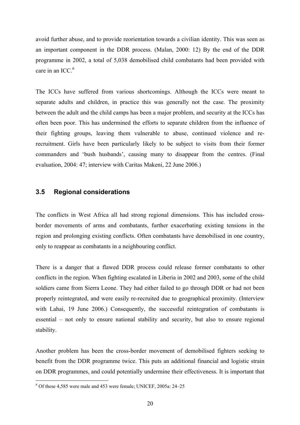avoid further abuse, and to provide reorientation towards a civilian identity. This was seen as an important component in the DDR process. (Malan, 2000: 12) By the end of the DDR programme in 2002, a total of 5,038 demobilised child combatants had been provided with care in an ICC. $6$ 

The ICCs have suffered from various shortcomings. Although the ICCs were meant to separate adults and children, in practice this was generally not the case. The proximity between the adult and the child camps has been a major problem, and security at the ICCs has often been poor. This has undermined the efforts to separate children from the influence of their fighting groups, leaving them vulnerable to abuse, continued violence and rerecruitment. Girls have been particularly likely to be subject to visits from their former commanders and 'bush husbands', causing many to disappear from the centres. (Final evaluation, 2004: 47; interview with Caritas Makeni, 22 June 2006.)

#### **3.5 Regional considerations**

The conflicts in West Africa all had strong regional dimensions. This has included crossborder movements of arms and combatants, further exacerbating existing tensions in the region and prolonging existing conflicts. Often combatants have demobilised in one country, only to reappear as combatants in a neighbouring conflict.

There is a danger that a flawed DDR process could release former combatants to other conflicts in the region. When fighting escalated in Liberia in 2002 and 2003, some of the child soldiers came from Sierra Leone. They had either failed to go through DDR or had not been properly reintegrated, and were easily re-recruited due to geographical proximity. (Interview with Lahai, 19 June 2006.) Consequently, the successful reintegration of combatants is essential – not only to ensure national stability and security, but also to ensure regional stability.

Another problem has been the cross-border movement of demobilised fighters seeking to benefit from the DDR programme twice. This puts an additional financial and logistic strain on DDR programmes, and could potentially undermine their effectiveness. It is important that

1

<sup>6</sup> Of these 4,585 were male and 453 were female; UNICEF, 2005a: 24–25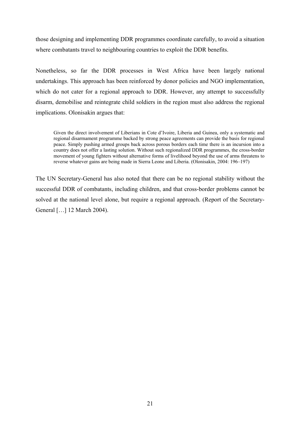those designing and implementing DDR programmes coordinate carefully, to avoid a situation where combatants travel to neighbouring countries to exploit the DDR benefits.

Nonetheless, so far the DDR processes in West Africa have been largely national undertakings. This approach has been reinforced by donor policies and NGO implementation, which do not cater for a regional approach to DDR. However, any attempt to successfully disarm, demobilise and reintegrate child soldiers in the region must also address the regional implications. Olonisakin argues that:

Given the direct involvement of Liberians in Cote d'Ivoire, Liberia and Guinea, only a systematic and regional disarmament programme backed by strong peace agreements can provide the basis for regional peace. Simply pushing armed groups back across porous borders each time there is an incursion into a country does not offer a lasting solution. Without such regionalized DDR programmes, the cross-border movement of young fighters without alternative forms of livelihood beyond the use of arms threatens to reverse whatever gains are being made in Sierra Leone and Liberia. (Olonisakin, 2004: 196–197)

The UN Secretary-General has also noted that there can be no regional stability without the successful DDR of combatants, including children, and that cross-border problems cannot be solved at the national level alone, but require a regional approach. (Report of the Secretary-General […] 12 March 2004).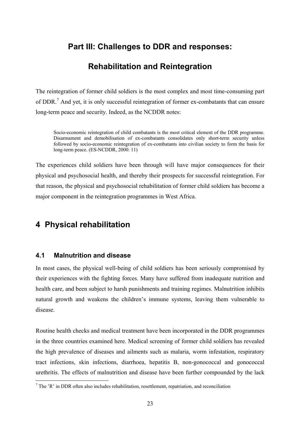## **Part III: Challenges to DDR and responses:**

## **Rehabilitation and Reintegration**

The reintegration of former child soldiers is the most complex and most time-consuming part of DDR.<sup>7</sup> And yet, it is only successful reintegration of former ex-combatants that can ensure long-term peace and security. Indeed, as the NCDDR notes:

Socio-economic reintegration of child combatants is the most critical element of the DDR programme. Disarmament and demobilisation of ex-combatants consolidates only short-term security unless followed by socio-economic reintegration of ex-combatants into civilian society to form the basis for long-term peace. (ES-NCDDR, 2000: 11)

The experiences child soldiers have been through will have major consequences for their physical and psychosocial health, and thereby their prospects for successful reintegration. For that reason, the physical and psychosocial rehabilitation of former child soldiers has become a major component in the reintegration programmes in West Africa.

## **4 Physical rehabilitation**

#### **4.1 Malnutrition and disease**

1

In most cases, the physical well-being of child soldiers has been seriously compromised by their experiences with the fighting forces. Many have suffered from inadequate nutrition and health care, and been subject to harsh punishments and training regimes. Malnutrition inhibits natural growth and weakens the children's immune systems, leaving them vulnerable to disease.

Routine health checks and medical treatment have been incorporated in the DDR programmes in the three countries examined here. Medical screening of former child soldiers has revealed the high prevalence of diseases and ailments such as malaria, worm infestation, respiratory tract infections, skin infections, diarrhoea, hepatitis B, non-gonococcal and gonococcal urethritis. The effects of malnutrition and disease have been further compounded by the lack

 $<sup>7</sup>$  The 'R' in DDR often also includes rehabilitation, resettlement, repatriation, and reconciliation</sup>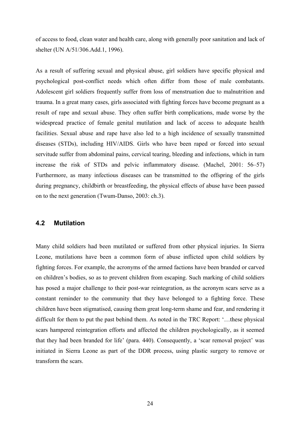of access to food, clean water and health care, along with generally poor sanitation and lack of shelter (UN A/51/306.Add.1, 1996).

As a result of suffering sexual and physical abuse, girl soldiers have specific physical and psychological post-conflict needs which often differ from those of male combatants. Adolescent girl soldiers frequently suffer from loss of menstruation due to malnutrition and trauma. In a great many cases, girls associated with fighting forces have become pregnant as a result of rape and sexual abuse. They often suffer birth complications, made worse by the widespread practice of female genital mutilation and lack of access to adequate health facilities. Sexual abuse and rape have also led to a high incidence of sexually transmitted diseases (STDs), including HIV/AIDS. Girls who have been raped or forced into sexual servitude suffer from abdominal pains, cervical tearing, bleeding and infections, which in turn increase the risk of STDs and pelvic inflammatory disease. (Machel, 2001: 56–57) Furthermore, as many infectious diseases can be transmitted to the offspring of the girls during pregnancy, childbirth or breastfeeding, the physical effects of abuse have been passed on to the next generation (Twum-Danso, 2003: ch.3).

#### **4.2 Mutilation**

Many child soldiers had been mutilated or suffered from other physical injuries. In Sierra Leone, mutilations have been a common form of abuse inflicted upon child soldiers by fighting forces. For example, the acronyms of the armed factions have been branded or carved on children's bodies, so as to prevent children from escaping. Such marking of child soldiers has posed a major challenge to their post-war reintegration, as the acronym scars serve as a constant reminder to the community that they have belonged to a fighting force. These children have been stigmatised, causing them great long-term shame and fear, and rendering it difficult for them to put the past behind them. As noted in the TRC Report: '…these physical scars hampered reintegration efforts and affected the children psychologically, as it seemed that they had been branded for life' (para. 440). Consequently, a 'scar removal project' was initiated in Sierra Leone as part of the DDR process, using plastic surgery to remove or transform the scars.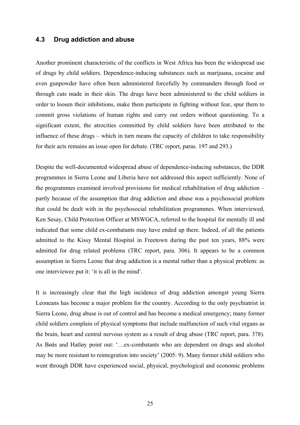#### **4.3 Drug addiction and abuse**

Another prominent characteristic of the conflicts in West Africa has been the widespread use of drugs by child soldiers. Dependence-inducing substances such as marijuana, cocaine and even gunpowder have often been administered forcefully by commanders through food or through cuts made in their skin. The drugs have been administered to the child soldiers in order to loosen their inhibitions, make them participate in fighting without fear, spur them to commit gross violations of human rights and carry out orders without questioning. To a significant extent, the atrocities committed by child soldiers have been attributed to the influence of these drugs – which in turn means the capacity of children to take responsibility for their acts remains an issue open for debate. (TRC report, paras. 197 and 293.)

Despite the well-documented widespread abuse of dependence-inducing substances, the DDR programmes in Sierra Leone and Liberia have not addressed this aspect sufficiently. None of the programmes examined involved provisions for medical rehabilitation of drug addiction – partly because of the assumption that drug addiction and abuse was a psychosocial problem that could be dealt with in the psychosocial rehabilitation programmes. When interviewed, Ken Sesay, Child Protection Officer at MSWGCA, referred to the hospital for mentally ill and indicated that some child ex-combatants may have ended up there. Indeed, of all the patients admitted to the Kissy Mental Hospital in Freetown during the past ten years, 88% were admitted for drug related problems (TRC report, para. 306). It appears to be a common assumption in Sierra Leone that drug addiction is a mental rather than a physical problem: as one interviewee put it: 'it is all in the mind'.

It is increasingly clear that the high incidence of drug addiction amongst young Sierra Leoneans has become a major problem for the country. According to the only psychiatrist in Sierra Leone, drug abuse is out of control and has become a medical emergency; many former child soldiers complain of physical symptoms that include malfunction of such vital organs as the brain, heart and central nervous system as a result of drug abuse (TRC report, para. 378). As Bøås and Hatløy point out: '…ex-combatants who are dependent on drugs and alcohol may be more resistant to reintegration into society' (2005: 9). Many former child soldiers who went through DDR have experienced social, physical, psychological and economic problems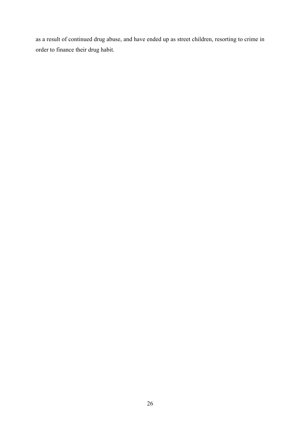as a result of continued drug abuse, and have ended up as street children, resorting to crime in order to finance their drug habit.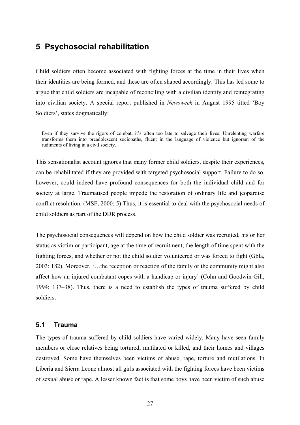## **5 Psychosocial rehabilitation**

Child soldiers often become associated with fighting forces at the time in their lives when their identities are being formed, and these are often shaped accordingly. This has led some to argue that child soldiers are incapable of reconciling with a civilian identity and reintegrating into civilian society. A special report published in *Newsweek* in August 1995 titled 'Boy Soldiers', states dogmatically:

Even if they survive the rigors of combat, it's often too late to salvage their lives. Unrelenting warfare transforms them into preadolescent sociopaths, fluent in the language of violence but ignorant of the rudiments of living in a civil society.

This sensationalist account ignores that many former child soldiers, despite their experiences, can be rehabilitated if they are provided with targeted psychosocial support. Failure to do so, however, could indeed have profound consequences for both the individual child and for society at large. Traumatised people impede the restoration of ordinary life and jeopardise conflict resolution. (MSF, 2000: 5) Thus, it is essential to deal with the psychosocial needs of child soldiers as part of the DDR process.

The psychosocial consequences will depend on how the child soldier was recruited, his or her status as victim or participant, age at the time of recruitment, the length of time spent with the fighting forces, and whether or not the child soldier volunteered or was forced to fight (Gbla, 2003: 182). Moreover, '…the reception or reaction of the family or the community might also affect how an injured combatant copes with a handicap or injury' (Cohn and Goodwin-Gill, 1994: 137–38). Thus, there is a need to establish the types of trauma suffered by child soldiers.

#### **5.1 Trauma**

The types of trauma suffered by child soldiers have varied widely. Many have seen family members or close relatives being tortured, mutilated or killed, and their homes and villages destroyed. Some have themselves been victims of abuse, rape, torture and mutilations. In Liberia and Sierra Leone almost all girls associated with the fighting forces have been victims of sexual abuse or rape. A lesser known fact is that some boys have been victim of such abuse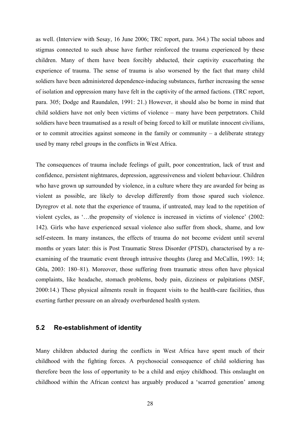as well. (Interview with Sesay, 16 June 2006; TRC report, para. 364.) The social taboos and stigmas connected to such abuse have further reinforced the trauma experienced by these children. Many of them have been forcibly abducted, their captivity exacerbating the experience of trauma. The sense of trauma is also worsened by the fact that many child soldiers have been administered dependence-inducing substances, further increasing the sense of isolation and oppression many have felt in the captivity of the armed factions. (TRC report, para. 305; Dodge and Raundalen, 1991: 21.) However, it should also be borne in mind that child soldiers have not only been victims of violence – many have been perpetrators. Child soldiers have been traumatised as a result of being forced to kill or mutilate innocent civilians, or to commit atrocities against someone in the family or community – a deliberate strategy used by many rebel groups in the conflicts in West Africa.

The consequences of trauma include feelings of guilt, poor concentration, lack of trust and confidence, persistent nightmares, depression, aggressiveness and violent behaviour. Children who have grown up surrounded by violence, in a culture where they are awarded for being as violent as possible, are likely to develop differently from those spared such violence. Dyregrov et al. note that the experience of trauma, if untreated, may lead to the repetition of violent cycles, as '…the propensity of violence is increased in victims of violence' (2002: 142). Girls who have experienced sexual violence also suffer from shock, shame, and low self-esteem. In many instances, the effects of trauma do not become evident until several months or years later: this is Post Traumatic Stress Disorder (PTSD), characterised by a reexamining of the traumatic event through intrusive thoughts (Jareg and McCallin, 1993: 14; Gbla, 2003: 180–81). Moreover, those suffering from traumatic stress often have physical complaints, like headache, stomach problems, body pain, dizziness or palpitations (MSF, 2000:14.) These physical ailments result in frequent visits to the health-care facilities, thus exerting further pressure on an already overburdened health system.

#### **5.2 Re-establishment of identity**

Many children abducted during the conflicts in West Africa have spent much of their childhood with the fighting forces. A psychosocial consequence of child soldiering has therefore been the loss of opportunity to be a child and enjoy childhood. This onslaught on childhood within the African context has arguably produced a 'scarred generation' among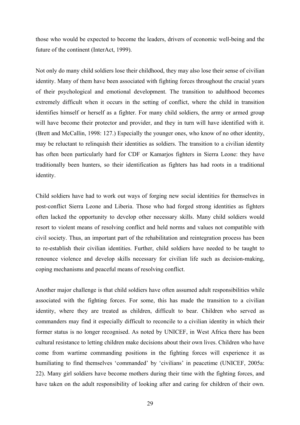those who would be expected to become the leaders, drivers of economic well-being and the future of the continent (InterAct, 1999).

Not only do many child soldiers lose their childhood, they may also lose their sense of civilian identity. Many of them have been associated with fighting forces throughout the crucial years of their psychological and emotional development. The transition to adulthood becomes extremely difficult when it occurs in the setting of conflict, where the child in transition identifies himself or herself as a fighter. For many child soldiers, the army or armed group will have become their protector and provider, and they in turn will have identified with it. (Brett and McCallin, 1998: 127.) Especially the younger ones, who know of no other identity, may be reluctant to relinquish their identities as soldiers. The transition to a civilian identity has often been particularly hard for CDF or Kamarjos fighters in Sierra Leone: they have traditionally been hunters, so their identification as fighters has had roots in a traditional identity.

Child soldiers have had to work out ways of forging new social identities for themselves in post-conflict Sierra Leone and Liberia. Those who had forged strong identities as fighters often lacked the opportunity to develop other necessary skills. Many child soldiers would resort to violent means of resolving conflict and held norms and values not compatible with civil society. Thus, an important part of the rehabilitation and reintegration process has been to re-establish their civilian identities. Further, child soldiers have needed to be taught to renounce violence and develop skills necessary for civilian life such as decision-making, coping mechanisms and peaceful means of resolving conflict.

Another major challenge is that child soldiers have often assumed adult responsibilities while associated with the fighting forces. For some, this has made the transition to a civilian identity, where they are treated as children, difficult to bear. Children who served as commanders may find it especially difficult to reconcile to a civilian identity in which their former status is no longer recognised. As noted by UNICEF, in West Africa there has been cultural resistance to letting children make decisions about their own lives. Children who have come from wartime commanding positions in the fighting forces will experience it as humiliating to find themselves 'commanded' by 'civilians' in peacetime (UNICEF, 2005a: 22). Many girl soldiers have become mothers during their time with the fighting forces, and have taken on the adult responsibility of looking after and caring for children of their own.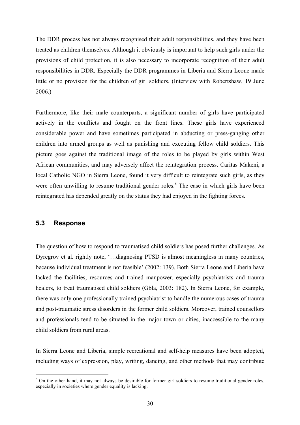The DDR process has not always recognised their adult responsibilities, and they have been treated as children themselves. Although it obviously is important to help such girls under the provisions of child protection, it is also necessary to incorporate recognition of their adult responsibilities in DDR. Especially the DDR programmes in Liberia and Sierra Leone made little or no provision for the children of girl soldiers. (Interview with Robertshaw, 19 June 2006.)

Furthermore, like their male counterparts, a significant number of girls have participated actively in the conflicts and fought on the front lines. These girls have experienced considerable power and have sometimes participated in abducting or press-ganging other children into armed groups as well as punishing and executing fellow child soldiers. This picture goes against the traditional image of the roles to be played by girls within West African communities, and may adversely affect the reintegration process. Caritas Makeni, a local Catholic NGO in Sierra Leone, found it very difficult to reintegrate such girls, as they were often unwilling to resume traditional gender roles.<sup>8</sup> The ease in which girls have been reintegrated has depended greatly on the status they had enjoyed in the fighting forces.

#### **5.3 Response**

1

The question of how to respond to traumatised child soldiers has posed further challenges. As Dyregrov et al. rightly note, '...diagnosing PTSD is almost meaningless in many countries, because individual treatment is not feasible' (2002: 139). Both Sierra Leone and Liberia have lacked the facilities, resources and trained manpower, especially psychiatrists and trauma healers, to treat traumatised child soldiers (Gbla, 2003: 182). In Sierra Leone, for example, there was only one professionally trained psychiatrist to handle the numerous cases of trauma and post-traumatic stress disorders in the former child soldiers. Moreover, trained counsellors and professionals tend to be situated in the major town or cities, inaccessible to the many child soldiers from rural areas.

In Sierra Leone and Liberia, simple recreational and self-help measures have been adopted, including ways of expression, play, writing, dancing, and other methods that may contribute

<sup>&</sup>lt;sup>8</sup> On the other hand, it may not always be desirable for former girl soldiers to resume traditional gender roles, especially in societies where gender equality is lacking.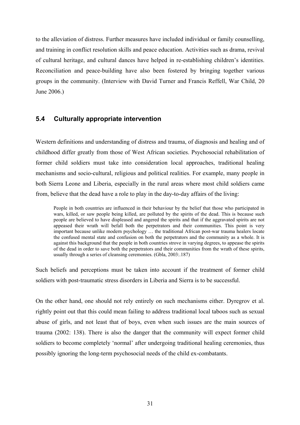to the alleviation of distress. Further measures have included individual or family counselling, and training in conflict resolution skills and peace education. Activities such as drama, revival of cultural heritage, and cultural dances have helped in re-establishing children's identities. Reconciliation and peace-building have also been fostered by bringing together various groups in the community. (Interview with David Turner and Francis Reffell, War Child, 20 June 2006.)

#### **5.4 Culturally appropriate intervention**

Western definitions and understanding of distress and trauma, of diagnosis and healing and of childhood differ greatly from those of West African societies. Psychosocial rehabilitation of former child soldiers must take into consideration local approaches, traditional healing mechanisms and socio-cultural, religious and political realities. For example, many people in both Sierra Leone and Liberia, especially in the rural areas where most child soldiers came from, believe that the dead have a role to play in the day-to-day affairs of the living:

People in both countries are influenced in their behaviour by the belief that those who participated in wars, killed, or saw people being killed, are polluted by the spirits of the dead. This is because such people are believed to have displeased and angered the spirits and that if the aggravated spirits are not appeased their wrath will befall both the perpetrators and their communities. This point is very important because unlike modern psychology … the traditional African post-war trauma healers locate the confused mental state and confusion on both the perpetrators and the community as a whole. It is against this background that the people in both countries strove in varying degrees, to appease the spirits of the dead in order to save both the perpetrators and their communities from the wrath of these spirits, usually through a series of cleansing ceremonies. (Gbla, 2003:.187)

Such beliefs and perceptions must be taken into account if the treatment of former child soldiers with post-traumatic stress disorders in Liberia and Sierra is to be successful.

On the other hand, one should not rely entirely on such mechanisms either. Dyregrov et al. rightly point out that this could mean failing to address traditional local taboos such as sexual abuse of girls, and not least that of boys, even when such issues are the main sources of trauma (2002: 138). There is also the danger that the community will expect former child soldiers to become completely 'normal' after undergoing traditional healing ceremonies, thus possibly ignoring the long-term psychosocial needs of the child ex-combatants.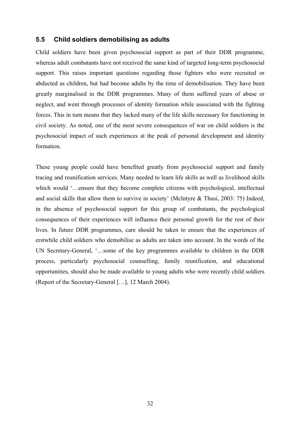#### **5.5 Child soldiers demobilising as adults**

Child soldiers have been given psychosocial support as part of their DDR programme, whereas adult combatants have not received the same kind of targeted long-term psychosocial support. This raises important questions regarding those fighters who were recruited or abducted as children, but had become adults by the time of demobilisation. They have been greatly marginalised in the DDR programmes. Many of them suffered years of abuse or neglect, and went through processes of identity formation while associated with the fighting forces. This in turn means that they lacked many of the life skills necessary for functioning in civil society. As noted, one of the most severe consequences of war on child soldiers is the psychosocial impact of such experiences at the peak of personal development and identity formation.

These young people could have benefited greatly from psychosocial support and family tracing and reunification services. Many needed to learn life skills as well as livelihood skills which would '...ensure that they become complete citizens with psychological, intellectual and social skills that allow them to survive in society' (McIntyre & Thusi, 2003: 75) Indeed, in the absence of psychosocial support for this group of combatants, the psychological consequences of their experiences will influence their personal growth for the rest of their lives. In future DDR programmes, care should be taken to ensure that the experiences of erstwhile child soldiers who demobilise as adults are taken into account. In the words of the UN Secretary-General, '…some of the key programmes available to children in the DDR process, particularly psychosocial counselling, family reunification, and educational opportunities, should also be made available to young adults who were recently child soldiers (Report of the Secretary-General […], 12 March 2004).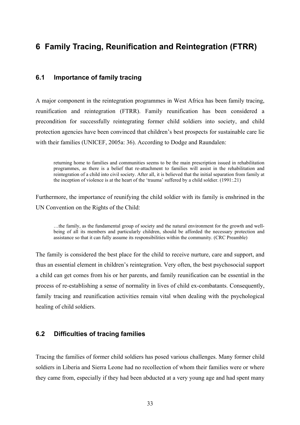## **6 Family Tracing, Reunification and Reintegration (FTRR)**

#### **6.1 Importance of family tracing**

A major component in the reintegration programmes in West Africa has been family tracing, reunification and reintegration (FTRR). Family reunification has been considered a precondition for successfully reintegrating former child soldiers into society, and child protection agencies have been convinced that children's best prospects for sustainable care lie with their families (UNICEF, 2005a: 36). According to Dodge and Raundalen:

returning home to families and communities seems to be the main prescription issued in rehabilitation programmes, as there is a belief that re-attachment to families will assist in the rehabilitation and reintegration of a child into civil society. After all, it is believed that the initial separation from family at the inception of violence is at the heart of the 'trauma' suffered by a child soldier. (1991:.21)

Furthermore, the importance of reunifying the child soldier with its family is enshrined in the UN Convention on the Rights of the Child:

…the family, as the fundamental group of society and the natural environment for the growth and wellbeing of all its members and particularly children, should be afforded the necessary protection and assistance so that it can fully assume its responsibilities within the community. (CRC Preamble)

The family is considered the best place for the child to receive nurture, care and support, and thus an essential element in children's reintegration. Very often, the best psychosocial support a child can get comes from his or her parents, and family reunification can be essential in the process of re-establishing a sense of normality in lives of child ex-combatants. Consequently, family tracing and reunification activities remain vital when dealing with the psychological healing of child soldiers.

#### **6.2 Difficulties of tracing families**

Tracing the families of former child soldiers has posed various challenges. Many former child soldiers in Liberia and Sierra Leone had no recollection of whom their families were or where they came from, especially if they had been abducted at a very young age and had spent many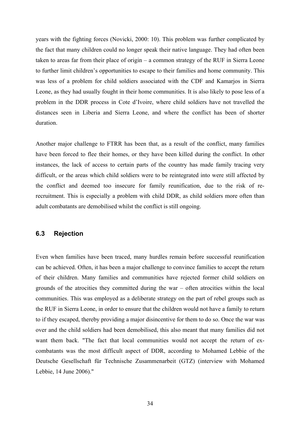years with the fighting forces (Novicki, 2000: 10). This problem was further complicated by the fact that many children could no longer speak their native language. They had often been taken to areas far from their place of origin – a common strategy of the RUF in Sierra Leone to further limit children's opportunities to escape to their families and home community. This was less of a problem for child soldiers associated with the CDF and Kamarjos in Sierra Leone, as they had usually fought in their home communities. It is also likely to pose less of a problem in the DDR process in Cote d'Ivoire, where child soldiers have not travelled the distances seen in Liberia and Sierra Leone, and where the conflict has been of shorter duration.

Another major challenge to FTRR has been that, as a result of the conflict, many families have been forced to flee their homes, or they have been killed during the conflict. In other instances, the lack of access to certain parts of the country has made family tracing very difficult, or the areas which child soldiers were to be reintegrated into were still affected by the conflict and deemed too insecure for family reunification, due to the risk of rerecruitment. This is especially a problem with child DDR, as child soldiers more often than adult combatants are demobilised whilst the conflict is still ongoing.

#### **6.3 Rejection**

Even when families have been traced, many hurdles remain before successful reunification can be achieved. Often, it has been a major challenge to convince families to accept the return of their children. Many families and communities have rejected former child soldiers on grounds of the atrocities they committed during the war – often atrocities within the local communities. This was employed as a deliberate strategy on the part of rebel groups such as the RUF in Sierra Leone, in order to ensure that the children would not have a family to return to if they escaped, thereby providing a major disincentive for them to do so. Once the war was over and the child soldiers had been demobilised, this also meant that many families did not want them back. "The fact that local communities would not accept the return of excombatants was the most difficult aspect of DDR, according to Mohamed Lebbie of the Deutsche Gesellschaft für Technische Zusammenarbeit (GTZ) (interview with Mohamed Lebbie, 14 June 2006)."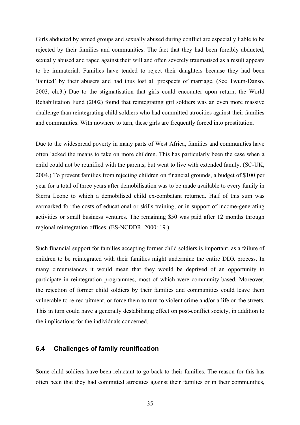Girls abducted by armed groups and sexually abused during conflict are especially liable to be rejected by their families and communities. The fact that they had been forcibly abducted, sexually abused and raped against their will and often severely traumatised as a result appears to be immaterial. Families have tended to reject their daughters because they had been 'tainted' by their abusers and had thus lost all prospects of marriage. (See Twum-Danso, 2003, ch.3.) Due to the stigmatisation that girls could encounter upon return, the World Rehabilitation Fund (2002) found that reintegrating girl soldiers was an even more massive challenge than reintegrating child soldiers who had committed atrocities against their families and communities. With nowhere to turn, these girls are frequently forced into prostitution.

Due to the widespread poverty in many parts of West Africa, families and communities have often lacked the means to take on more children. This has particularly been the case when a child could not be reunified with the parents, but went to live with extended family. (SC-UK, 2004.) To prevent families from rejecting children on financial grounds, a budget of \$100 per year for a total of three years after demobilisation was to be made available to every family in Sierra Leone to which a demobilised child ex-combatant returned. Half of this sum was earmarked for the costs of educational or skills training, or in support of income-generating activities or small business ventures. The remaining \$50 was paid after 12 months through regional reintegration offices. (ES-NCDDR, 2000: 19.)

Such financial support for families accepting former child soldiers is important, as a failure of children to be reintegrated with their families might undermine the entire DDR process. In many circumstances it would mean that they would be deprived of an opportunity to participate in reintegration programmes, most of which were community-based. Moreover, the rejection of former child soldiers by their families and communities could leave them vulnerable to re-recruitment, or force them to turn to violent crime and/or a life on the streets. This in turn could have a generally destabilising effect on post-conflict society, in addition to the implications for the individuals concerned.

#### **6.4 Challenges of family reunification**

Some child soldiers have been reluctant to go back to their families. The reason for this has often been that they had committed atrocities against their families or in their communities,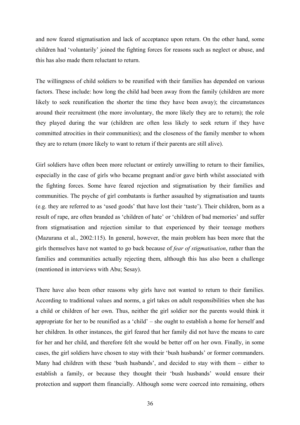and now feared stigmatisation and lack of acceptance upon return. On the other hand, some children had 'voluntarily' joined the fighting forces for reasons such as neglect or abuse, and this has also made them reluctant to return.

The willingness of child soldiers to be reunified with their families has depended on various factors. These include: how long the child had been away from the family (children are more likely to seek reunification the shorter the time they have been away); the circumstances around their recruitment (the more involuntary, the more likely they are to return); the role they played during the war (children are often less likely to seek return if they have committed atrocities in their communities); and the closeness of the family member to whom they are to return (more likely to want to return if their parents are still alive).

Girl soldiers have often been more reluctant or entirely unwilling to return to their families, especially in the case of girls who became pregnant and/or gave birth whilst associated with the fighting forces. Some have feared rejection and stigmatisation by their families and communities. The psyche of girl combatants is further assaulted by stigmatisation and taunts (e.g. they are referred to as 'used goods' that have lost their 'taste'). Their children, born as a result of rape, are often branded as 'children of hate' or 'children of bad memories' and suffer from stigmatisation and rejection similar to that experienced by their teenage mothers (Mazurana et al., 2002:115). In general, however, the main problem has been more that the girls themselves have not wanted to go back because of *fear of stigmatisation*, rather than the families and communities actually rejecting them, although this has also been a challenge (mentioned in interviews with Abu; Sesay).

There have also been other reasons why girls have not wanted to return to their families. According to traditional values and norms, a girl takes on adult responsibilities when she has a child or children of her own. Thus, neither the girl soldier nor the parents would think it appropriate for her to be reunified as a 'child' – she ought to establish a home for herself and her children. In other instances, the girl feared that her family did not have the means to care for her and her child, and therefore felt she would be better off on her own. Finally, in some cases, the girl soldiers have chosen to stay with their 'bush husbands' or former commanders. Many had children with these 'bush husbands', and decided to stay with them – either to establish a family, or because they thought their 'bush husbands' would ensure their protection and support them financially. Although some were coerced into remaining, others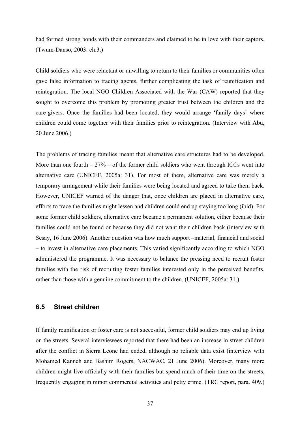had formed strong bonds with their commanders and claimed to be in love with their captors. (Twum-Danso, 2003: ch.3.)

Child soldiers who were reluctant or unwilling to return to their families or communities often gave false information to tracing agents, further complicating the task of reunification and reintegration. The local NGO Children Associated with the War (CAW) reported that they sought to overcome this problem by promoting greater trust between the children and the care-givers. Once the families had been located, they would arrange 'family days' where children could come together with their families prior to reintegration. (Interview with Abu, 20 June 2006.)

The problems of tracing families meant that alternative care structures had to be developed. More than one fourth  $-27%$  – of the former child soldiers who went through ICCs went into alternative care (UNICEF, 2005a: 31). For most of them, alternative care was merely a temporary arrangement while their families were being located and agreed to take them back. However, UNICEF warned of the danger that, once children are placed in alternative care, efforts to trace the families might lessen and children could end up staying too long (ibid). For some former child soldiers, alternative care became a permanent solution, either because their families could not be found or because they did not want their children back (interview with Sesay, 16 June 2006). Another question was how much support –material, financial and social – to invest in alternative care placements. This varied significantly according to which NGO administered the programme. It was necessary to balance the pressing need to recruit foster families with the risk of recruiting foster families interested only in the perceived benefits, rather than those with a genuine commitment to the children. (UNICEF, 2005a: 31.)

#### **6.5 Street children**

If family reunification or foster care is not successful, former child soldiers may end up living on the streets. Several interviewees reported that there had been an increase in street children after the conflict in Sierra Leone had ended, although no reliable data exist (interview with Mohamed Kanneh and Bashim Rogers, NACWAC, 21 June 2006). Moreover, many more children might live officially with their families but spend much of their time on the streets, frequently engaging in minor commercial activities and petty crime. (TRC report, para. 409.)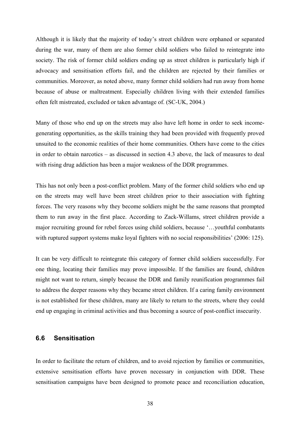Although it is likely that the majority of today's street children were orphaned or separated during the war, many of them are also former child soldiers who failed to reintegrate into society. The risk of former child soldiers ending up as street children is particularly high if advocacy and sensitisation efforts fail, and the children are rejected by their families or communities. Moreover, as noted above, many former child soldiers had run away from home because of abuse or maltreatment. Especially children living with their extended families often felt mistreated, excluded or taken advantage of. (SC-UK, 2004.)

Many of those who end up on the streets may also have left home in order to seek incomegenerating opportunities, as the skills training they had been provided with frequently proved unsuited to the economic realities of their home communities. Others have come to the cities in order to obtain narcotics – as discussed in section 4.3 above, the lack of measures to deal with rising drug addiction has been a major weakness of the DDR programmes.

This has not only been a post-conflict problem. Many of the former child soldiers who end up on the streets may well have been street children prior to their association with fighting forces. The very reasons why they become soldiers might be the same reasons that prompted them to run away in the first place. According to Zack-Willams, street children provide a major recruiting ground for rebel forces using child soldiers, because '…youthful combatants with ruptured support systems make loyal fighters with no social responsibilities' (2006: 125).

It can be very difficult to reintegrate this category of former child soldiers successfully. For one thing, locating their families may prove impossible. If the families are found, children might not want to return, simply because the DDR and family reunification programmes fail to address the deeper reasons why they became street children. If a caring family environment is not established for these children, many are likely to return to the streets, where they could end up engaging in criminal activities and thus becoming a source of post-conflict insecurity.

#### **6.6 Sensitisation**

In order to facilitate the return of children, and to avoid rejection by families or communities, extensive sensitisation efforts have proven necessary in conjunction with DDR. These sensitisation campaigns have been designed to promote peace and reconciliation education,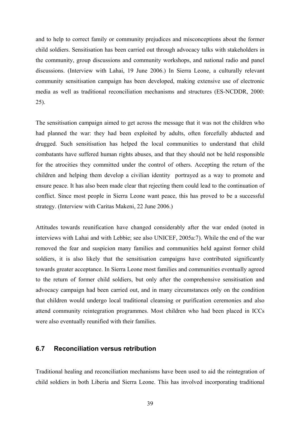and to help to correct family or community prejudices and misconceptions about the former child soldiers. Sensitisation has been carried out through advocacy talks with stakeholders in the community, group discussions and community workshops, and national radio and panel discussions. (Interview with Lahai, 19 June 2006.) In Sierra Leone, a culturally relevant community sensitisation campaign has been developed, making extensive use of electronic media as well as traditional reconciliation mechanisms and structures (ES-NCDDR, 2000: 25).

The sensitisation campaign aimed to get across the message that it was not the children who had planned the war: they had been exploited by adults, often forcefully abducted and drugged. Such sensitisation has helped the local communities to understand that child combatants have suffered human rights abuses, and that they should not be held responsible for the atrocities they committed under the control of others. Accepting the return of the children and helping them develop a civilian identity portrayed as a way to promote and ensure peace. It has also been made clear that rejecting them could lead to the continuation of conflict. Since most people in Sierra Leone want peace, this has proved to be a successful strategy. (Interview with Caritas Makeni, 22 June 2006.)

Attitudes towards reunification have changed considerably after the war ended (noted in interviews with Lahai and with Lebbie; see also UNICEF, 2005a:7). While the end of the war removed the fear and suspicion many families and communities held against former child soldiers, it is also likely that the sensitisation campaigns have contributed significantly towards greater acceptance. In Sierra Leone most families and communities eventually agreed to the return of former child soldiers, but only after the comprehensive sensitisation and advocacy campaign had been carried out, and in many circumstances only on the condition that children would undergo local traditional cleansing or purification ceremonies and also attend community reintegration programmes. Most children who had been placed in ICCs were also eventually reunified with their families.

#### **6.7 Reconciliation versus retribution**

Traditional healing and reconciliation mechanisms have been used to aid the reintegration of child soldiers in both Liberia and Sierra Leone. This has involved incorporating traditional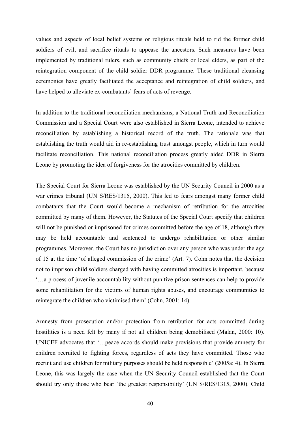values and aspects of local belief systems or religious rituals held to rid the former child soldiers of evil, and sacrifice rituals to appease the ancestors. Such measures have been implemented by traditional rulers, such as community chiefs or local elders, as part of the reintegration component of the child soldier DDR programme. These traditional cleansing ceremonies have greatly facilitated the acceptance and reintegration of child soldiers, and have helped to alleviate ex-combatants' fears of acts of revenge.

In addition to the traditional reconciliation mechanisms, a National Truth and Reconciliation Commission and a Special Court were also established in Sierra Leone, intended to achieve reconciliation by establishing a historical record of the truth. The rationale was that establishing the truth would aid in re-establishing trust amongst people, which in turn would facilitate reconciliation. This national reconciliation process greatly aided DDR in Sierra Leone by promoting the idea of forgiveness for the atrocities committed by children.

The Special Court for Sierra Leone was established by the UN Security Council in 2000 as a war crimes tribunal (UN S/RES/1315, 2000). This led to fears amongst many former child combatants that the Court would become a mechanism of retribution for the atrocities committed by many of them. However, the Statutes of the Special Court specify that children will not be punished or imprisoned for crimes committed before the age of 18, although they may be held accountable and sentenced to undergo rehabilitation or other similar programmes. Moreover, the Court has no jurisdiction over any person who was under the age of 15 at the time 'of alleged commission of the crime' (Art. 7). Cohn notes that the decision not to imprison child soldiers charged with having committed atrocities is important, because '…a process of juvenile accountability without punitive prison sentences can help to provide some rehabilitation for the victims of human rights abuses, and encourage communities to reintegrate the children who victimised them' (Cohn, 2001: 14).

Amnesty from prosecution and/or protection from retribution for acts committed during hostilities is a need felt by many if not all children being demobilised (Malan, 2000: 10). UNICEF advocates that '…peace accords should make provisions that provide amnesty for children recruited to fighting forces, regardless of acts they have committed. Those who recruit and use children for military purposes should be held responsible' (2005a: 4). In Sierra Leone, this was largely the case when the UN Security Council established that the Court should try only those who bear 'the greatest responsibility' (UN S/RES/1315, 2000). Child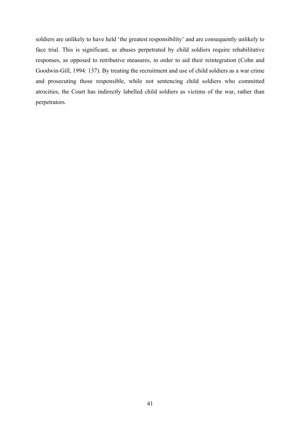soldiers are unlikely to have held 'the greatest responsibility' and are consequently unlikely to face trial. This is significant, as abuses perpetrated by child soldiers require rehabilitative responses, as opposed to retributive measures, in order to aid their reintegration (Cohn and Goodwin-Gill, 1994: 137). By treating the recruitment and use of child soldiers as a war crime and prosecuting those responsible, while not sentencing child soldiers who committed atrocities, the Court has indirectly labelled child soldiers as victims of the war, rather than perpetrators.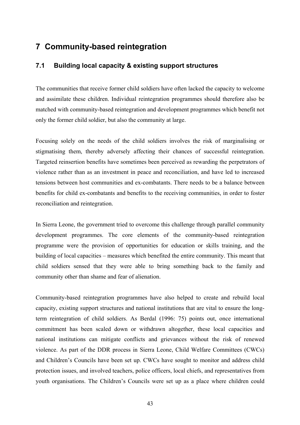## **7 Community-based reintegration**

#### **7.1 Building local capacity & existing support structures**

The communities that receive former child soldiers have often lacked the capacity to welcome and assimilate these children. Individual reintegration programmes should therefore also be matched with community-based reintegration and development programmes which benefit not only the former child soldier, but also the community at large.

Focusing solely on the needs of the child soldiers involves the risk of marginalising or stigmatising them, thereby adversely affecting their chances of successful reintegration. Targeted reinsertion benefits have sometimes been perceived as rewarding the perpetrators of violence rather than as an investment in peace and reconciliation, and have led to increased tensions between host communities and ex-combatants. There needs to be a balance between benefits for child ex-combatants and benefits to the receiving communities, in order to foster reconciliation and reintegration.

In Sierra Leone, the government tried to overcome this challenge through parallel community development programmes. The core elements of the community-based reintegration programme were the provision of opportunities for education or skills training, and the building of local capacities – measures which benefited the entire community. This meant that child soldiers sensed that they were able to bring something back to the family and community other than shame and fear of alienation.

Community-based reintegration programmes have also helped to create and rebuild local capacity, existing support structures and national institutions that are vital to ensure the longterm reintegration of child soldiers. As Berdal (1996: 75) points out, once international commitment has been scaled down or withdrawn altogether, these local capacities and national institutions can mitigate conflicts and grievances without the risk of renewed violence. As part of the DDR process in Sierra Leone, Child Welfare Committees (CWCs) and Children's Councils have been set up. CWCs have sought to monitor and address child protection issues, and involved teachers, police officers, local chiefs, and representatives from youth organisations. The Children's Councils were set up as a place where children could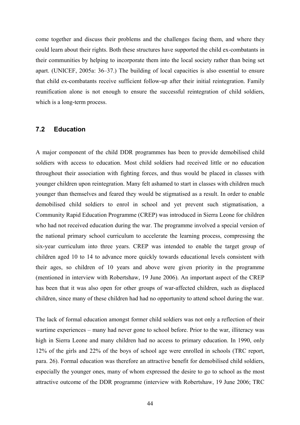come together and discuss their problems and the challenges facing them, and where they could learn about their rights. Both these structures have supported the child ex-combatants in their communities by helping to incorporate them into the local society rather than being set apart. (UNICEF, 2005a: 36–37.) The building of local capacities is also essential to ensure that child ex-combatants receive sufficient follow-up after their initial reintegration. Family reunification alone is not enough to ensure the successful reintegration of child soldiers, which is a long-term process.

#### **7.2 Education**

A major component of the child DDR programmes has been to provide demobilised child soldiers with access to education. Most child soldiers had received little or no education throughout their association with fighting forces, and thus would be placed in classes with younger children upon reintegration. Many felt ashamed to start in classes with children much younger than themselves and feared they would be stigmatised as a result. In order to enable demobilised child soldiers to enrol in school and yet prevent such stigmatisation, a Community Rapid Education Programme (CREP) was introduced in Sierra Leone for children who had not received education during the war. The programme involved a special version of the national primary school curriculum to accelerate the learning process, compressing the six-year curriculum into three years. CREP was intended to enable the target group of children aged 10 to 14 to advance more quickly towards educational levels consistent with their ages, so children of 10 years and above were given priority in the programme (mentioned in interview with Robertshaw, 19 June 2006). An important aspect of the CREP has been that it was also open for other groups of war-affected children, such as displaced children, since many of these children had had no opportunity to attend school during the war.

The lack of formal education amongst former child soldiers was not only a reflection of their wartime experiences – many had never gone to school before. Prior to the war, illiteracy was high in Sierra Leone and many children had no access to primary education. In 1990, only 12% of the girls and 22% of the boys of school age were enrolled in schools (TRC report, para. 26). Formal education was therefore an attractive benefit for demobilised child soldiers, especially the younger ones, many of whom expressed the desire to go to school as the most attractive outcome of the DDR programme (interview with Robertshaw, 19 June 2006; TRC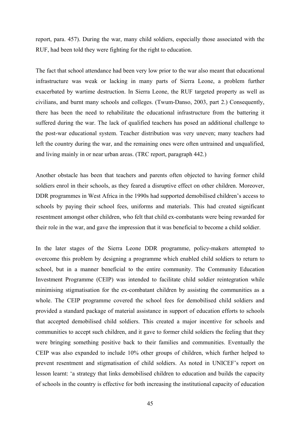report, para. 457). During the war, many child soldiers, especially those associated with the RUF, had been told they were fighting for the right to education.

The fact that school attendance had been very low prior to the war also meant that educational infrastructure was weak or lacking in many parts of Sierra Leone, a problem further exacerbated by wartime destruction. In Sierra Leone, the RUF targeted property as well as civilians, and burnt many schools and colleges. (Twum-Danso, 2003, part 2.) Consequently, there has been the need to rehabilitate the educational infrastructure from the battering it suffered during the war. The lack of qualified teachers has posed an additional challenge to the post-war educational system. Teacher distribution was very uneven; many teachers had left the country during the war, and the remaining ones were often untrained and unqualified, and living mainly in or near urban areas. (TRC report, paragraph 442.)

Another obstacle has been that teachers and parents often objected to having former child soldiers enrol in their schools, as they feared a disruptive effect on other children. Moreover, DDR programmes in West Africa in the 1990s had supported demobilised children's access to schools by paying their school fees, uniforms and materials. This had created significant resentment amongst other children, who felt that child ex-combatants were being rewarded for their role in the war, and gave the impression that it was beneficial to become a child soldier.

In the later stages of the Sierra Leone DDR programme, policy-makers attempted to overcome this problem by designing a programme which enabled child soldiers to return to school, but in a manner beneficial to the entire community. The Community Education Investment Programme (CEIP) was intended to facilitate child soldier reintegration while minimising stigmatisation for the ex-combatant children by assisting the communities as a whole. The CEIP programme covered the school fees for demobilised child soldiers and provided a standard package of material assistance in support of education efforts to schools that accepted demobilised child soldiers. This created a major incentive for schools and communities to accept such children, and it gave to former child soldiers the feeling that they were bringing something positive back to their families and communities. Eventually the CEIP was also expanded to include 10% other groups of children, which further helped to prevent resentment and stigmatisation of child soldiers. As noted in UNICEF's report on lesson learnt: 'a strategy that links demobilised children to education and builds the capacity of schools in the country is effective for both increasing the institutional capacity of education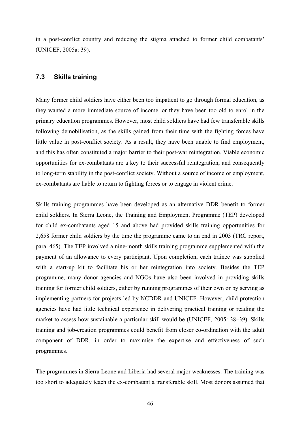in a post-conflict country and reducing the stigma attached to former child combatants' (UNICEF, 2005a: 39).

#### **7.3 Skills training**

Many former child soldiers have either been too impatient to go through formal education, as they wanted a more immediate source of income, or they have been too old to enrol in the primary education programmes. However, most child soldiers have had few transferable skills following demobilisation, as the skills gained from their time with the fighting forces have little value in post-conflict society. As a result, they have been unable to find employment, and this has often constituted a major barrier to their post-war reintegration. Viable economic opportunities for ex-combatants are a key to their successful reintegration, and consequently to long-term stability in the post-conflict society. Without a source of income or employment, ex-combatants are liable to return to fighting forces or to engage in violent crime.

Skills training programmes have been developed as an alternative DDR benefit to former child soldiers. In Sierra Leone, the Training and Employment Programme (TEP) developed for child ex-combatants aged 15 and above had provided skills training opportunities for 2,658 former child soldiers by the time the programme came to an end in 2003 (TRC report, para. 465). The TEP involved a nine-month skills training programme supplemented with the payment of an allowance to every participant. Upon completion, each trainee was supplied with a start-up kit to facilitate his or her reintegration into society. Besides the TEP programme, many donor agencies and NGOs have also been involved in providing skills training for former child soldiers, either by running programmes of their own or by serving as implementing partners for projects led by NCDDR and UNICEF. However, child protection agencies have had little technical experience in delivering practical training or reading the market to assess how sustainable a particular skill would be (UNICEF, 2005: 38–39). Skills training and job-creation programmes could benefit from closer co-ordination with the adult component of DDR, in order to maximise the expertise and effectiveness of such programmes.

The programmes in Sierra Leone and Liberia had several major weaknesses. The training was too short to adequately teach the ex-combatant a transferable skill. Most donors assumed that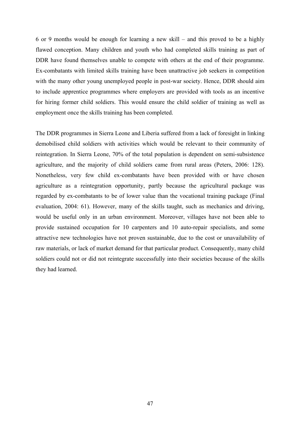6 or 9 months would be enough for learning a new skill – and this proved to be a highly flawed conception. Many children and youth who had completed skills training as part of DDR have found themselves unable to compete with others at the end of their programme. Ex-combatants with limited skills training have been unattractive job seekers in competition with the many other young unemployed people in post-war society. Hence, DDR should aim to include apprentice programmes where employers are provided with tools as an incentive for hiring former child soldiers. This would ensure the child soldier of training as well as employment once the skills training has been completed.

The DDR programmes in Sierra Leone and Liberia suffered from a lack of foresight in linking demobilised child soldiers with activities which would be relevant to their community of reintegration. In Sierra Leone, 70% of the total population is dependent on semi-subsistence agriculture, and the majority of child soldiers came from rural areas (Peters, 2006: 128). Nonetheless, very few child ex-combatants have been provided with or have chosen agriculture as a reintegration opportunity, partly because the agricultural package was regarded by ex-combatants to be of lower value than the vocational training package (Final evaluation, 2004: 61). However, many of the skills taught, such as mechanics and driving, would be useful only in an urban environment. Moreover, villages have not been able to provide sustained occupation for 10 carpenters and 10 auto-repair specialists, and some attractive new technologies have not proven sustainable, due to the cost or unavailability of raw materials, or lack of market demand for that particular product. Consequently, many child soldiers could not or did not reintegrate successfully into their societies because of the skills they had learned.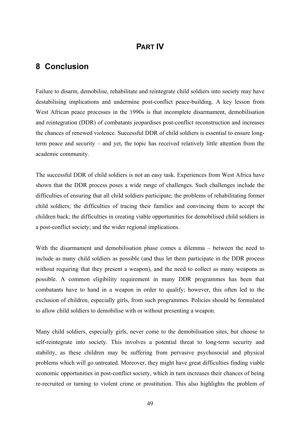## **PART IV**

## **8 Conclusion**

Failure to disarm, demobilise, rehabilitate and reintegrate child soldiers into society may have destabilising implications and undermine post-conflict peace-building. A key lesson from West African peace processes in the 1990s is that incomplete disarmament, demobilisation and reintegration (DDR) of combatants jeopardises post-conflict reconstruction and increases the chances of renewed violence. Successful DDR of child soldiers is essential to ensure longterm peace and security – and yet, the topic has received relatively little attention from the academic community.

The successful DDR of child soldiers is not an easy task. Experiences from West Africa have shown that the DDR process poses a wide range of challenges. Such challenges include the difficulties of ensuring that all child soldiers participate; the problems of rehabilitating former child soldiers; the difficulties of tracing their families and convincing them to accept the children back; the difficulties in creating viable opportunities for demobilised child soldiers in a post-conflict society; and the wider regional implications.

With the disarmament and demobilisation phase comes a dilemma – between the need to include as many child soldiers as possible (and thus let them participate in the DDR process without requiring that they present a weapon), and the need to collect as many weapons as possible. A common eligibility requirement in many DDR programmes has been that combatants have to hand in a weapon in order to qualify; however, this often led to the exclusion of children, especially girls, from such programmes. Policies should be formulated to allow child soldiers to demobilise with or without presenting a weapon.

Many child soldiers, especially girls, never come to the demobilisation sites, but choose to self-reintegrate into society. This involves a potential threat to long-term security and stability, as these children may be suffering from pervasive psychosocial and physical problems which will go untreated. Moreover, they might have great difficulties finding viable economic opportunities in post-conflict society, which in turn increases their chances of being re-recruited or turning to violent crime or prostitution. This also highlights the problem of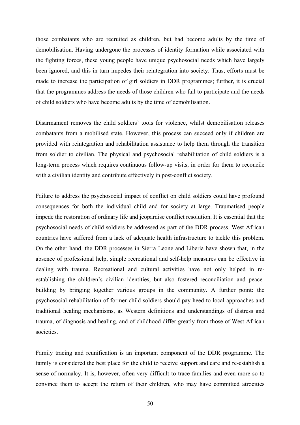those combatants who are recruited as children, but had become adults by the time of demobilisation. Having undergone the processes of identity formation while associated with the fighting forces, these young people have unique psychosocial needs which have largely been ignored, and this in turn impedes their reintegration into society. Thus, efforts must be made to increase the participation of girl soldiers in DDR programmes; further, it is crucial that the programmes address the needs of those children who fail to participate and the needs of child soldiers who have become adults by the time of demobilisation.

Disarmament removes the child soldiers' tools for violence, whilst demobilisation releases combatants from a mobilised state. However, this process can succeed only if children are provided with reintegration and rehabilitation assistance to help them through the transition from soldier to civilian. The physical and psychosocial rehabilitation of child soldiers is a long-term process which requires continuous follow-up visits, in order for them to reconcile with a civilian identity and contribute effectively in post-conflict society.

Failure to address the psychosocial impact of conflict on child soldiers could have profound consequences for both the individual child and for society at large. Traumatised people impede the restoration of ordinary life and jeopardise conflict resolution. It is essential that the psychosocial needs of child soldiers be addressed as part of the DDR process. West African countries have suffered from a lack of adequate health infrastructure to tackle this problem. On the other hand, the DDR processes in Sierra Leone and Liberia have shown that, in the absence of professional help, simple recreational and self-help measures can be effective in dealing with trauma. Recreational and cultural activities have not only helped in reestablishing the children's civilian identities, but also fostered reconciliation and peacebuilding by bringing together various groups in the community. A further point: the psychosocial rehabilitation of former child soldiers should pay heed to local approaches and traditional healing mechanisms, as Western definitions and understandings of distress and trauma, of diagnosis and healing, and of childhood differ greatly from those of West African societies.

Family tracing and reunification is an important component of the DDR programme. The family is considered the best place for the child to receive support and care and re-establish a sense of normalcy. It is, however, often very difficult to trace families and even more so to convince them to accept the return of their children, who may have committed atrocities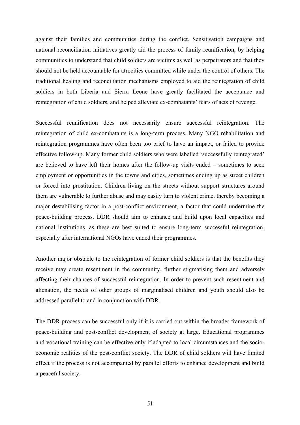against their families and communities during the conflict. Sensitisation campaigns and national reconciliation initiatives greatly aid the process of family reunification, by helping communities to understand that child soldiers are victims as well as perpetrators and that they should not be held accountable for atrocities committed while under the control of others. The traditional healing and reconciliation mechanisms employed to aid the reintegration of child soldiers in both Liberia and Sierra Leone have greatly facilitated the acceptance and reintegration of child soldiers, and helped alleviate ex-combatants' fears of acts of revenge.

Successful reunification does not necessarily ensure successful reintegration. The reintegration of child ex-combatants is a long-term process. Many NGO rehabilitation and reintegration programmes have often been too brief to have an impact, or failed to provide effective follow-up. Many former child soldiers who were labelled 'successfully reintegrated' are believed to have left their homes after the follow-up visits ended – sometimes to seek employment or opportunities in the towns and cities, sometimes ending up as street children or forced into prostitution. Children living on the streets without support structures around them are vulnerable to further abuse and may easily turn to violent crime, thereby becoming a major destabilising factor in a post-conflict environment, a factor that could undermine the peace-building process. DDR should aim to enhance and build upon local capacities and national institutions, as these are best suited to ensure long-term successful reintegration, especially after international NGOs have ended their programmes.

Another major obstacle to the reintegration of former child soldiers is that the benefits they receive may create resentment in the community, further stigmatising them and adversely affecting their chances of successful reintegration. In order to prevent such resentment and alienation, the needs of other groups of marginalised children and youth should also be addressed parallel to and in conjunction with DDR.

The DDR process can be successful only if it is carried out within the broader framework of peace-building and post-conflict development of society at large. Educational programmes and vocational training can be effective only if adapted to local circumstances and the socioeconomic realities of the post-conflict society. The DDR of child soldiers will have limited effect if the process is not accompanied by parallel efforts to enhance development and build a peaceful society.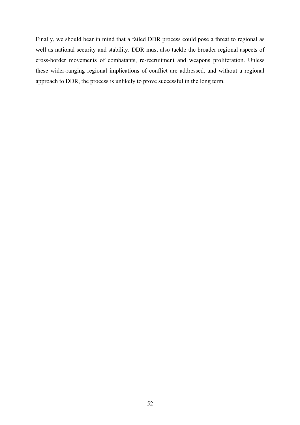Finally, we should bear in mind that a failed DDR process could pose a threat to regional as well as national security and stability. DDR must also tackle the broader regional aspects of cross-border movements of combatants, re-recruitment and weapons proliferation. Unless these wider-ranging regional implications of conflict are addressed, and without a regional approach to DDR, the process is unlikely to prove successful in the long term.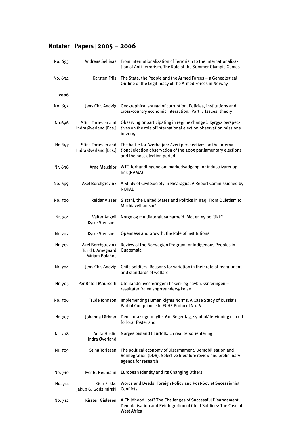## **Notater** | **Papers** <sup>|</sup> **2005 – 2006**

| No. 693 |                                                                  | Andreas Selliaas   From Internationalization of Terrorism to the Internationaliza-<br>tion of Anti-terrorism. The Role of the Summer Olympic Games               |
|---------|------------------------------------------------------------------|------------------------------------------------------------------------------------------------------------------------------------------------------------------|
| No. 694 | <b>Karsten Friis</b>                                             | The State, the People and the Armed Forces - a Genealogical<br>Outline of the Legitimacy of the Armed Forces in Norway                                           |
| 2006    |                                                                  |                                                                                                                                                                  |
| No. 695 | Jens Chr. Andvig                                                 | Geographical spread of corruption. Policies, institutions and<br>cross-country economic interaction. Part I: Issues, theory                                      |
| No.696  | Stina Torjesen and<br>Indra Øverland [Eds.]                      | Observing or participating in regime change?. Kyrgyz perspec-<br>tives on the role of international election observation missions<br>in 2005                     |
| No.697  | Stina Torjesen and<br>Indra Øverland [Eds.]                      | The battle for Azerbaijan: Azeri perspectives on the interna-<br>tional election observation of the 2005 parliamentary elections<br>and the post-election period |
| Nr. 698 | Arne Melchior                                                    | WTO-forhandlingene om markedsadgang for industrivarer og<br>fisk (NAMA)                                                                                          |
| No. 699 | Axel Borchgrevink                                                | A Study of Civil Society in Nicaragua. A Report Commissioned by<br><b>NORAD</b>                                                                                  |
| No. 700 | <b>Reidar Visser</b>                                             | Sistani, the United States and Politics in Iraq. From Quietism to<br>Machiavellianism?                                                                           |
| Nr. 701 | Valter Angell<br><b>Kyrre Stensnes</b>                           | Norge og multilateralt samarbeid. Mot en ny politikk?                                                                                                            |
| Nr. 702 | <b>Kyrre Stensnes</b>                                            | Openness and Growth: the Role of Institutions                                                                                                                    |
| Nr. 703 | Axel Borchgrevink<br>Turid J. Arnegaard<br><b>Miriam Bolaños</b> | Review of the Norwegian Program for Indigenous Peoples in<br>Guatemala                                                                                           |
| Nr. 704 | Jens Chr. Andvig                                                 | Child soldiers: Reasons for variation in their rate of recruitment<br>and standards of welfare                                                                   |
| Nr. 705 | <b>Per Botolf Maurseth</b>                                       | Utenlandsinvesteringer i fiskeri- og havbruksnæringen -<br>resultater fra en spørreundersøkelse                                                                  |
| No. 706 | Trude Johnson                                                    | Implementing Human Rights Norms. A Case Study of Russia's<br>Partial Compliance to ECHR Protocol No. 6                                                           |
| Nr. 707 | Iohanna Lärkner                                                  | Den stora segern fyller 60. Segerdag, symbolåtervinning och ett<br>förlorat fosterland                                                                           |
| Nr. 708 | Anita Haslie<br>Indra Øverland                                   | Norges bistand til urfolk. En realitetsorientering                                                                                                               |
| Nr. 709 | Stina Torjesen                                                   | The political economy of Disarmament, Demobilisation and<br>Reintegration (DDR). Selective literature review and preliminary<br>agenda for research              |
| No. 710 | Iver B. Neumann                                                  | <b>European Identity and Its Changing Others</b>                                                                                                                 |
| No. 711 | Geir Flikke<br>Jakub G. Godzimirski                              | Words and Deeds: Foreign Policy and Post-Soviet Secessionist<br>Conflicts                                                                                        |
| No. 712 | Kirsten Gislesen                                                 | A Childhood Lost? The Challenges of Successful Disarmament,<br>Demobilisation and Reintegration of Child Soldiers: The Case of<br><b>West Africa</b>             |